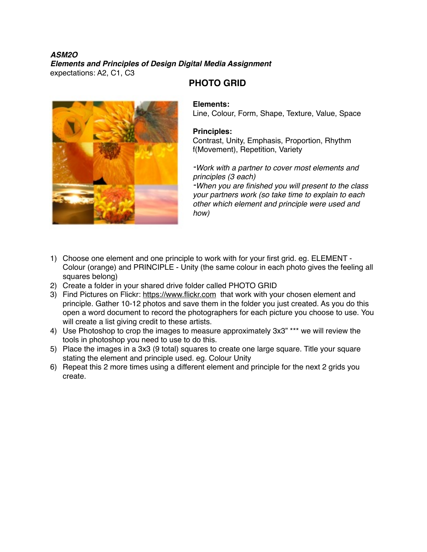#### *ASM2O Elements and Principles of Design Digital Media Assignment* expectations: A2, C1, C3



# **PHOTO GRID**

### **Elements:**

Line, Colour, Form, Shape, Texture, Value, Space

#### **Principles:**

Contrast, Unity, Emphasis, Proportion, Rhythm f(Movement), Repetition, Variety

#### *-Work with a partner to cover most elements and principles (3 each)*

*-When you are finished you will present to the class your partners work (so take time to explain to each other which element and principle were used and how)*

- 1) Choose one element and one principle to work with for your first grid. eg. ELEMENT Colour (orange) and PRINCIPLE - Unity (the same colour in each photo gives the feeling all squares belong)
- 2) Create a folder in your shared drive folder called PHOTO GRID
- 3) Find Pictures on Flickr: <https://www.flickr.com> that work with your chosen element and principle. Gather 10-12 photos and save them in the folder you just created. As you do this open a word document to record the photographers for each picture you choose to use. You will create a list giving credit to these artists.
- 4) Use Photoshop to crop the images to measure approximately 3x3" \*\*\* we will review the tools in photoshop you need to use to do this.
- 5) Place the images in a 3x3 (9 total) squares to create one large square. Title your square stating the element and principle used. eg. Colour Unity
- 6) Repeat this 2 more times using a different element and principle for the next 2 grids you create.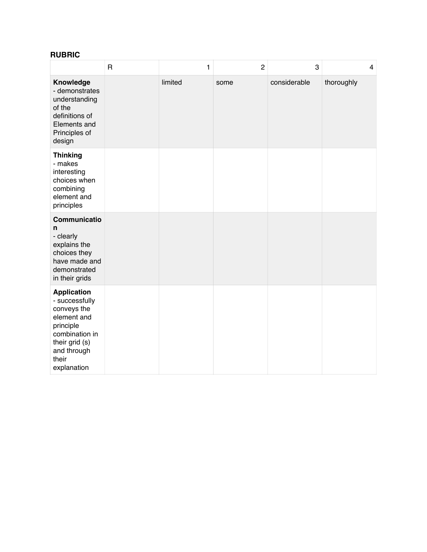## **RUBRIC**

|                                                                                                                                                            | $\overline{\mathsf{R}}$ | 1       | $\overline{c}$ | 3            | $\overline{4}$ |
|------------------------------------------------------------------------------------------------------------------------------------------------------------|-------------------------|---------|----------------|--------------|----------------|
| Knowledge<br>- demonstrates<br>understanding<br>of the<br>definitions of<br>Elements and<br>Principles of<br>design                                        |                         | limited | some           | considerable | thoroughly     |
| <b>Thinking</b><br>- makes<br>interesting<br>choices when<br>combining<br>element and<br>principles                                                        |                         |         |                |              |                |
| Communicatio<br>n<br>- clearly<br>explains the<br>choices they<br>have made and<br>demonstrated<br>in their grids                                          |                         |         |                |              |                |
| <b>Application</b><br>- successfully<br>conveys the<br>element and<br>principle<br>combination in<br>their grid (s)<br>and through<br>their<br>explanation |                         |         |                |              |                |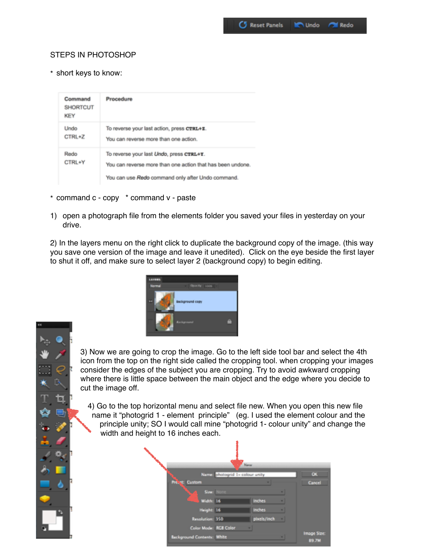#### STEPS IN PHOTOSHOP

\* short keys to know:

| Command<br><b>SHORTCUT</b><br>KEY | Procedure                                                                                                                                                   |
|-----------------------------------|-------------------------------------------------------------------------------------------------------------------------------------------------------------|
| Undo<br>CTRL+Z                    | To reverse your last action, press CTRL+Z.<br>You can reverse more than one action.                                                                         |
| Redo<br>CTRL+Y                    | To reverse your last Undo, press CTRL+Y.<br>You can reverse more than one action that has been undone.<br>You can use Redo command only after Undo command. |

- \* command c copy \* command v paste
- 1) open a photograph file from the elements folder you saved your files in yesterday on your drive.

2) In the layers menu on the right click to duplicate the background copy of the image. (this way you save one version of the image and leave it unedited). Click on the eye beside the first layer to shut it off, and make sure to select layer 2 (background copy) to begin editing.





3) Now we are going to crop the image. Go to the left side tool bar and select the 4th icon from the top on the right side called the cropping tool. when cropping your images consider the edges of the subject you are cropping. Try to avoid awkward cropping where there is little space between the main object and the edge where you decide to cut the image off.

4) Go to the top horizontal menu and select file new. When you open this new file name it "photogrid 1 - element principle" (eg. I used the element colour and the principle unity; SO I would call mine "photogrid 1- colour unity" and change the width and height to 16 inches each.

|                            | New                             |               |  |                      |  |  |
|----------------------------|---------------------------------|---------------|--|----------------------|--|--|
|                            | Names photogrid 1- colour unity |               |  |                      |  |  |
| <b>Prog.</b> Custom        |                                 |               |  | Cancell              |  |  |
|                            | Size: None                      |               |  |                      |  |  |
| <b>South Walter 16</b>     |                                 | <b>Inches</b> |  |                      |  |  |
| Height: 16                 |                                 | <b>Inches</b> |  |                      |  |  |
| Resolution: 350            |                                 | pixels/inch   |  |                      |  |  |
| Color Mode: RCB Color      |                                 |               |  |                      |  |  |
| Background Contents: White |                                 |               |  | Image Size:<br>89.7M |  |  |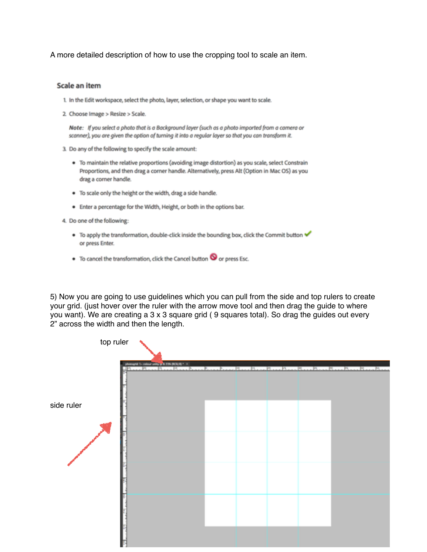A more detailed description of how to use the cropping tool to scale an item.

#### Scale an item

- 1. In the Edit workspace, select the photo, layer, selection, or shape you want to scale.
- 2. Choose Image > Resize > Scale.

Note: If you select a photo that is a Background layer (such as a photo imported from a camera or scanner), you are given the option of turning it into a regular layer so that you can transform it.

- 3. Do any of the following to specify the scale amount:
	- . To maintain the relative proportions (avoiding image distortion) as you scale, select Constrain Proportions, and then drag a corner handle. Alternatively, press Alt (Option in Mac OS) as you drag a corner handle.
	- . To scale only the height or the width, drag a side handle.
	- . Enter a percentage for the Width, Height, or both in the options bar.
- 4. Do one of the following:
	- To apply the transformation, double-click inside the bounding box, click the Commit button or press Enter.
	- To cancel the transformation, click the Cancel button O or press Esc.

5) Now you are going to use guidelines which you can pull from the side and top rulers to create your grid. (just hover over the ruler with the arrow move tool and then drag the guide to where you want). We are creating a 3 x 3 square grid ( 9 squares total). So drag the guides out every 2" across the width and then the length.

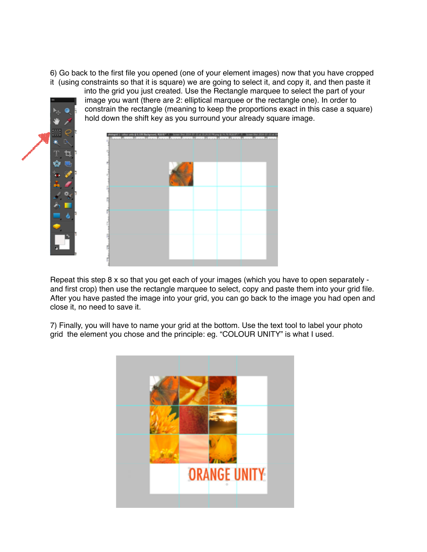6) Go back to the first file you opened (one of your element images) now that you have cropped it (using constraints so that it is square) we are going to select it, and copy it, and then paste it into the grid you just created. Use the Rectangle marquee to select the part of your



Repeat this step 8 x so that you get each of your images (which you have to open separately and first crop) then use the rectangle marquee to select, copy and paste them into your grid file. After you have pasted the image into your grid, you can go back to the image you had open and close it, no need to save it.

7) Finally, you will have to name your grid at the bottom. Use the text tool to label your photo grid the element you chose and the principle: eg. "COLOUR UNITY" is what I used.

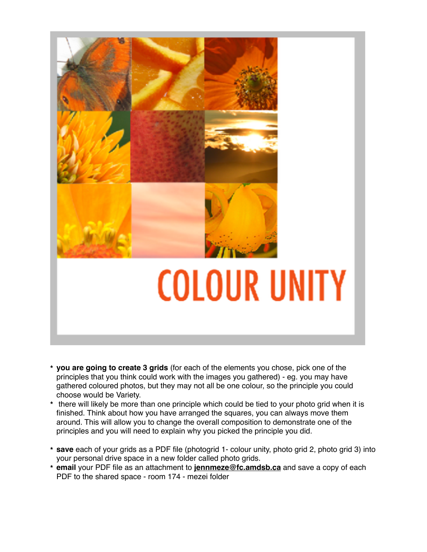

- **\* you are going to create 3 grids** (for each of the elements you chose, pick one of the principles that you think could work with the images you gathered) - eg. you may have gathered coloured photos, but they may not all be one colour, so the principle you could choose would be Variety.
- **\*** there will likely be more than one principle which could be tied to your photo grid when it is finished. Think about how you have arranged the squares, you can always move them around. This will allow you to change the overall composition to demonstrate one of the principles and you will need to explain why you picked the principle you did.
- **\* save** each of your grids as a PDF file (photogrid 1- colour unity, photo grid 2, photo grid 3) into your personal drive space in a new folder called photo grids.
- **\* email** your PDF file as an attachment to **[jennmeze@fc.amdsb.ca](mailto:jennmeze@fc.amdsb.ca)** and save a copy of each PDF to the shared space - room 174 - mezei folder